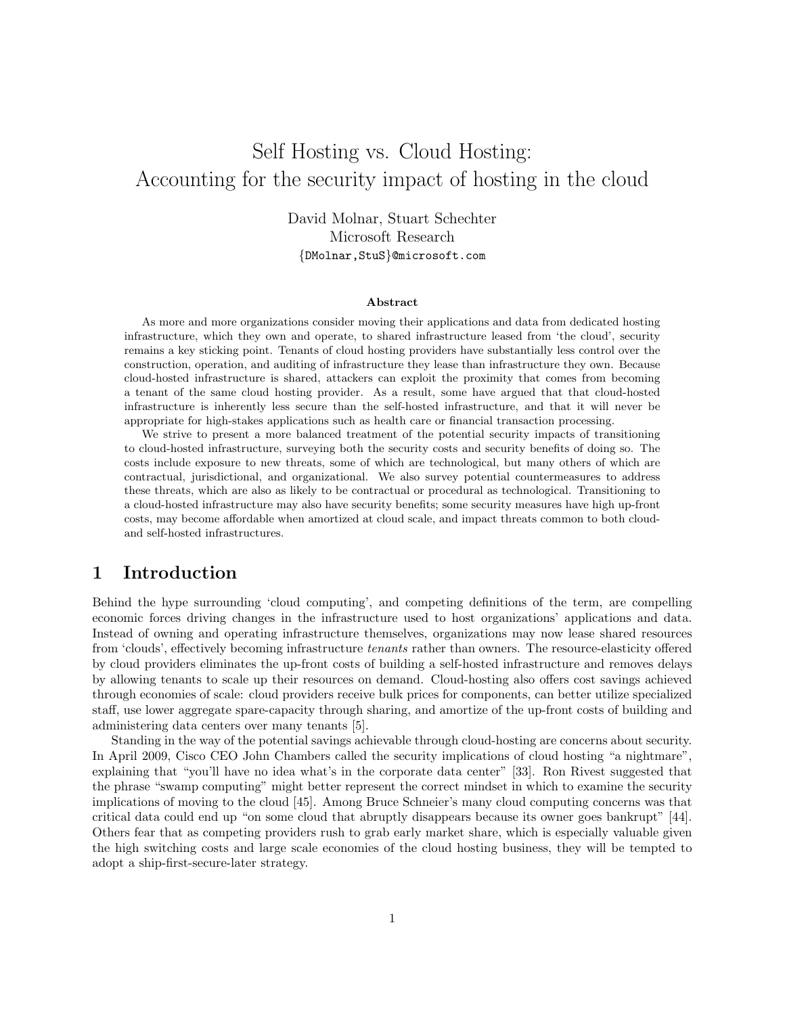# Self Hosting vs. Cloud Hosting: Accounting for the security impact of hosting in the cloud

David Molnar, Stuart Schechter Microsoft Research {DMolnar,StuS}@microsoft.com

### Abstract

As more and more organizations consider moving their applications and data from dedicated hosting infrastructure, which they own and operate, to shared infrastructure leased from 'the cloud', security remains a key sticking point. Tenants of cloud hosting providers have substantially less control over the construction, operation, and auditing of infrastructure they lease than infrastructure they own. Because cloud-hosted infrastructure is shared, attackers can exploit the proximity that comes from becoming a tenant of the same cloud hosting provider. As a result, some have argued that that cloud-hosted infrastructure is inherently less secure than the self-hosted infrastructure, and that it will never be appropriate for high-stakes applications such as health care or financial transaction processing.

We strive to present a more balanced treatment of the potential security impacts of transitioning to cloud-hosted infrastructure, surveying both the security costs and security benefits of doing so. The costs include exposure to new threats, some of which are technological, but many others of which are contractual, jurisdictional, and organizational. We also survey potential countermeasures to address these threats, which are also as likely to be contractual or procedural as technological. Transitioning to a cloud-hosted infrastructure may also have security benefits; some security measures have high up-front costs, may become affordable when amortized at cloud scale, and impact threats common to both cloudand self-hosted infrastructures.

# 1 Introduction

Behind the hype surrounding 'cloud computing', and competing definitions of the term, are compelling economic forces driving changes in the infrastructure used to host organizations' applications and data. Instead of owning and operating infrastructure themselves, organizations may now lease shared resources from 'clouds', effectively becoming infrastructure tenants rather than owners. The resource-elasticity offered by cloud providers eliminates the up-front costs of building a self-hosted infrastructure and removes delays by allowing tenants to scale up their resources on demand. Cloud-hosting also offers cost savings achieved through economies of scale: cloud providers receive bulk prices for components, can better utilize specialized staff, use lower aggregate spare-capacity through sharing, and amortize of the up-front costs of building and administering data centers over many tenants [5].

Standing in the way of the potential savings achievable through cloud-hosting are concerns about security. In April 2009, Cisco CEO John Chambers called the security implications of cloud hosting "a nightmare", explaining that "you'll have no idea what's in the corporate data center" [33]. Ron Rivest suggested that the phrase "swamp computing" might better represent the correct mindset in which to examine the security implications of moving to the cloud [45]. Among Bruce Schneier's many cloud computing concerns was that critical data could end up "on some cloud that abruptly disappears because its owner goes bankrupt" [44]. Others fear that as competing providers rush to grab early market share, which is especially valuable given the high switching costs and large scale economies of the cloud hosting business, they will be tempted to adopt a ship-first-secure-later strategy.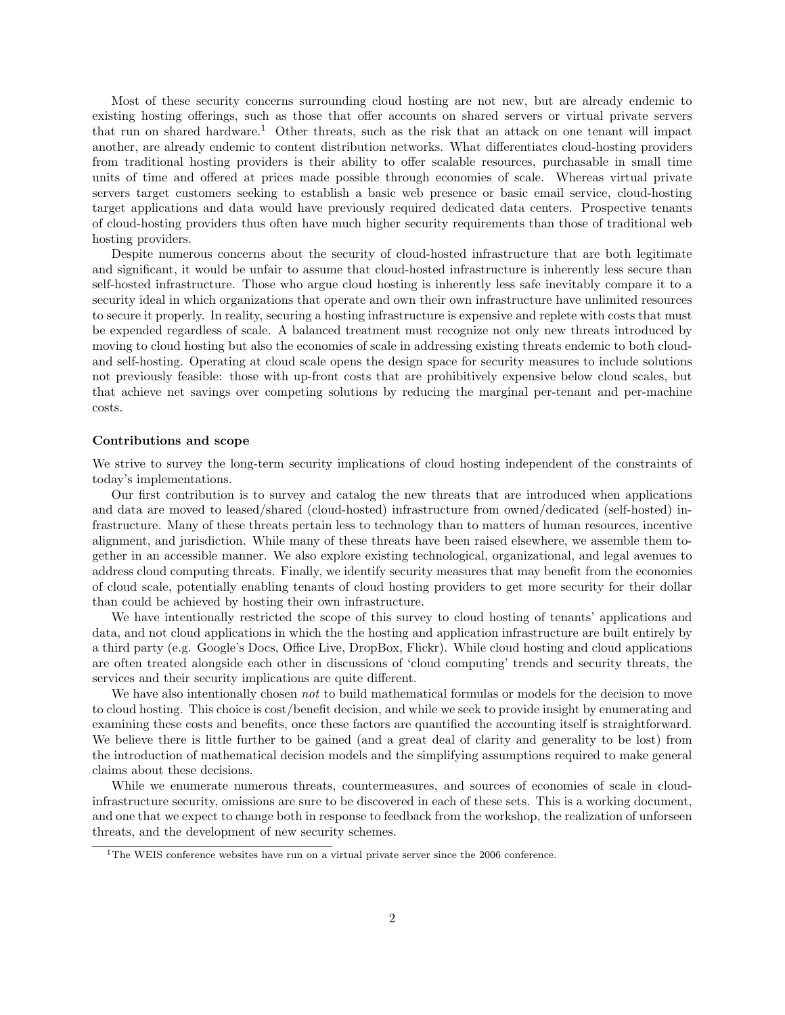Most of these security concerns surrounding cloud hosting are not new, but are already endemic to existing hosting offerings, such as those that offer accounts on shared servers or virtual private servers that run on shared hardware.<sup>1</sup> Other threats, such as the risk that an attack on one tenant will impact another, are already endemic to content distribution networks. What differentiates cloud-hosting providers from traditional hosting providers is their ability to offer scalable resources, purchasable in small time units of time and offered at prices made possible through economies of scale. Whereas virtual private servers target customers seeking to establish a basic web presence or basic email service, cloud-hosting target applications and data would have previously required dedicated data centers. Prospective tenants of cloud-hosting providers thus often have much higher security requirements than those of traditional web hosting providers.

Despite numerous concerns about the security of cloud-hosted infrastructure that are both legitimate and significant, it would be unfair to assume that cloud-hosted infrastructure is inherently less secure than self-hosted infrastructure. Those who argue cloud hosting is inherently less safe inevitably compare it to a security ideal in which organizations that operate and own their own infrastructure have unlimited resources to secure it properly. In reality, securing a hosting infrastructure is expensive and replete with costs that must be expended regardless of scale. A balanced treatment must recognize not only new threats introduced by moving to cloud hosting but also the economies of scale in addressing existing threats endemic to both cloudand self-hosting. Operating at cloud scale opens the design space for security measures to include solutions not previously feasible: those with up-front costs that are prohibitively expensive below cloud scales, but that achieve net savings over competing solutions by reducing the marginal per-tenant and per-machine costs.

#### Contributions and scope

We strive to survey the long-term security implications of cloud hosting independent of the constraints of today's implementations.

Our first contribution is to survey and catalog the new threats that are introduced when applications and data are moved to leased/shared (cloud-hosted) infrastructure from owned/dedicated (self-hosted) infrastructure. Many of these threats pertain less to technology than to matters of human resources, incentive alignment, and jurisdiction. While many of these threats have been raised elsewhere, we assemble them together in an accessible manner. We also explore existing technological, organizational, and legal avenues to address cloud computing threats. Finally, we identify security measures that may benefit from the economies of cloud scale, potentially enabling tenants of cloud hosting providers to get more security for their dollar than could be achieved by hosting their own infrastructure.

We have intentionally restricted the scope of this survey to cloud hosting of tenants' applications and data, and not cloud applications in which the the hosting and application infrastructure are built entirely by a third party (e.g. Google's Docs, Office Live, DropBox, Flickr). While cloud hosting and cloud applications are often treated alongside each other in discussions of 'cloud computing' trends and security threats, the services and their security implications are quite different.

We have also intentionally chosen not to build mathematical formulas or models for the decision to move to cloud hosting. This choice is cost/benefit decision, and while we seek to provide insight by enumerating and examining these costs and benefits, once these factors are quantified the accounting itself is straightforward. We believe there is little further to be gained (and a great deal of clarity and generality to be lost) from the introduction of mathematical decision models and the simplifying assumptions required to make general claims about these decisions.

While we enumerate numerous threats, countermeasures, and sources of economies of scale in cloudinfrastructure security, omissions are sure to be discovered in each of these sets. This is a working document, and one that we expect to change both in response to feedback from the workshop, the realization of unforseen threats, and the development of new security schemes.

<sup>&</sup>lt;sup>1</sup>The WEIS conference websites have run on a virtual private server since the 2006 conference.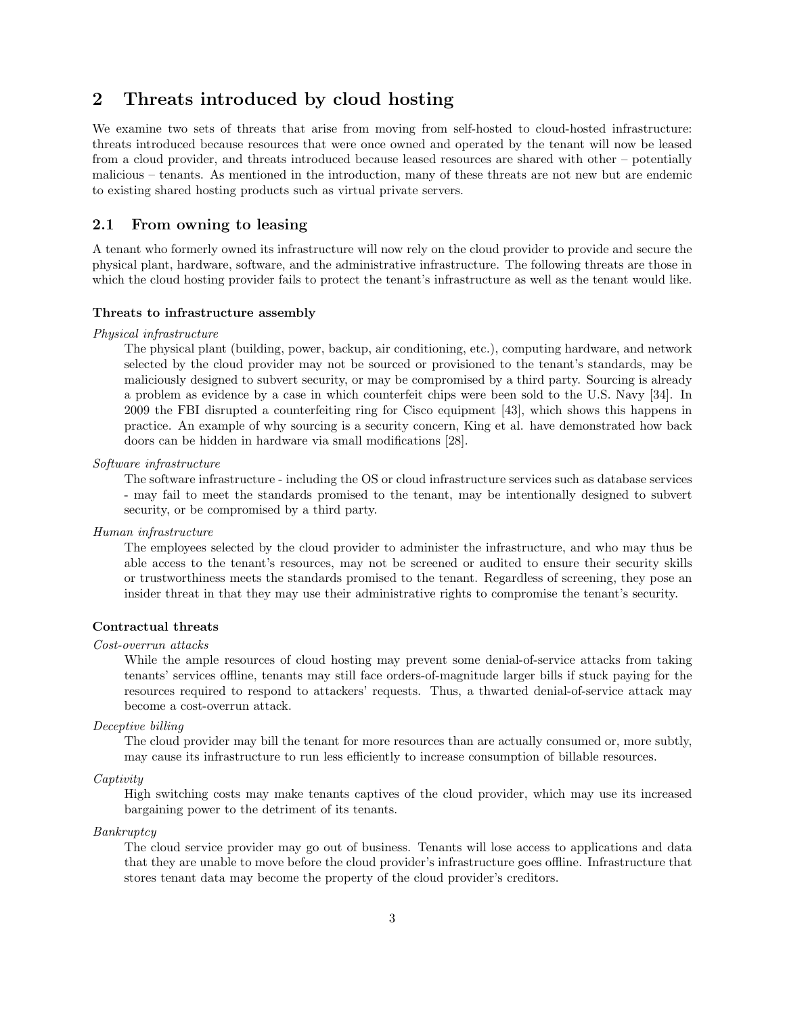# 2 Threats introduced by cloud hosting

We examine two sets of threats that arise from moving from self-hosted to cloud-hosted infrastructure: threats introduced because resources that were once owned and operated by the tenant will now be leased from a cloud provider, and threats introduced because leased resources are shared with other – potentially malicious – tenants. As mentioned in the introduction, many of these threats are not new but are endemic to existing shared hosting products such as virtual private servers.

### 2.1 From owning to leasing

A tenant who formerly owned its infrastructure will now rely on the cloud provider to provide and secure the physical plant, hardware, software, and the administrative infrastructure. The following threats are those in which the cloud hosting provider fails to protect the tenant's infrastructure as well as the tenant would like.

### Threats to infrastructure assembly

#### Physical infrastructure

The physical plant (building, power, backup, air conditioning, etc.), computing hardware, and network selected by the cloud provider may not be sourced or provisioned to the tenant's standards, may be maliciously designed to subvert security, or may be compromised by a third party. Sourcing is already a problem as evidence by a case in which counterfeit chips were been sold to the U.S. Navy [34]. In 2009 the FBI disrupted a counterfeiting ring for Cisco equipment [43], which shows this happens in practice. An example of why sourcing is a security concern, King et al. have demonstrated how back doors can be hidden in hardware via small modifications [28].

Software infrastructure

The software infrastructure - including the OS or cloud infrastructure services such as database services - may fail to meet the standards promised to the tenant, may be intentionally designed to subvert security, or be compromised by a third party.

Human infrastructure

The employees selected by the cloud provider to administer the infrastructure, and who may thus be able access to the tenant's resources, may not be screened or audited to ensure their security skills or trustworthiness meets the standards promised to the tenant. Regardless of screening, they pose an insider threat in that they may use their administrative rights to compromise the tenant's security.

### Contractual threats

### Cost-overrun attacks

While the ample resources of cloud hosting may prevent some denial-of-service attacks from taking tenants' services offline, tenants may still face orders-of-magnitude larger bills if stuck paying for the resources required to respond to attackers' requests. Thus, a thwarted denial-of-service attack may become a cost-overrun attack.

Deceptive billing

The cloud provider may bill the tenant for more resources than are actually consumed or, more subtly, may cause its infrastructure to run less efficiently to increase consumption of billable resources.

#### Captivity

High switching costs may make tenants captives of the cloud provider, which may use its increased bargaining power to the detriment of its tenants.

#### Bankruptcy

The cloud service provider may go out of business. Tenants will lose access to applications and data that they are unable to move before the cloud provider's infrastructure goes offline. Infrastructure that stores tenant data may become the property of the cloud provider's creditors.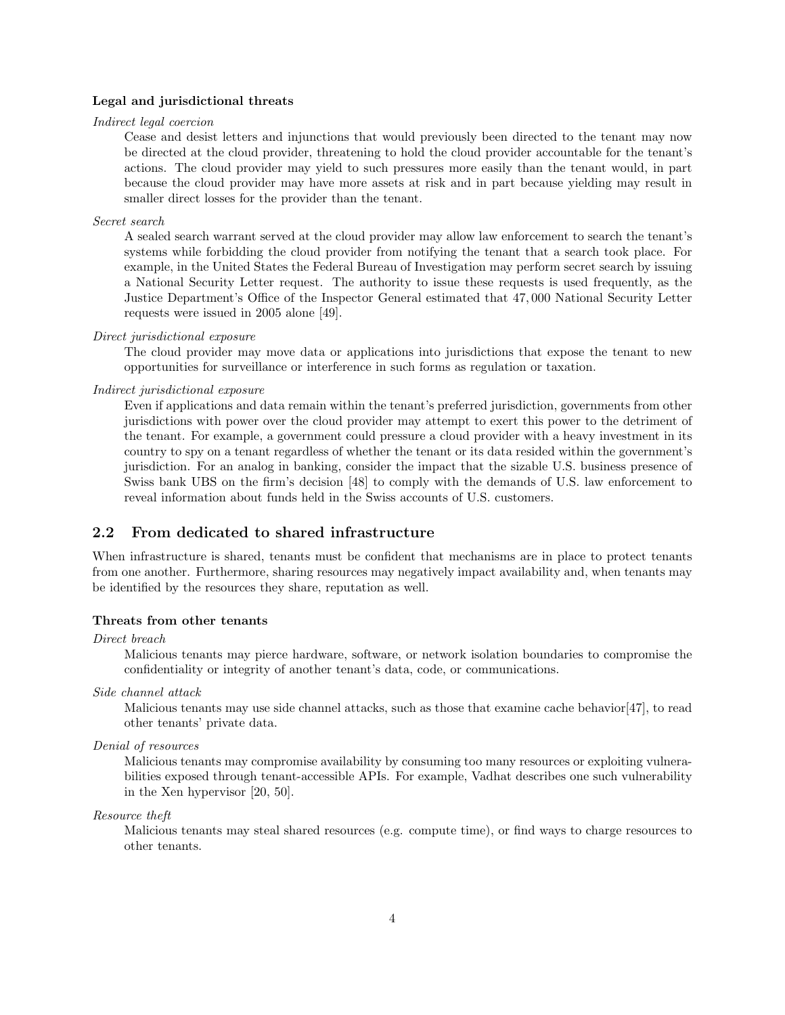#### Legal and jurisdictional threats

### Indirect legal coercion

Cease and desist letters and injunctions that would previously been directed to the tenant may now be directed at the cloud provider, threatening to hold the cloud provider accountable for the tenant's actions. The cloud provider may yield to such pressures more easily than the tenant would, in part because the cloud provider may have more assets at risk and in part because yielding may result in smaller direct losses for the provider than the tenant.

### Secret search

A sealed search warrant served at the cloud provider may allow law enforcement to search the tenant's systems while forbidding the cloud provider from notifying the tenant that a search took place. For example, in the United States the Federal Bureau of Investigation may perform secret search by issuing a National Security Letter request. The authority to issue these requests is used frequently, as the Justice Department's Office of the Inspector General estimated that 47, 000 National Security Letter requests were issued in 2005 alone [49].

### Direct jurisdictional exposure

The cloud provider may move data or applications into jurisdictions that expose the tenant to new opportunities for surveillance or interference in such forms as regulation or taxation.

### Indirect jurisdictional exposure

Even if applications and data remain within the tenant's preferred jurisdiction, governments from other jurisdictions with power over the cloud provider may attempt to exert this power to the detriment of the tenant. For example, a government could pressure a cloud provider with a heavy investment in its country to spy on a tenant regardless of whether the tenant or its data resided within the government's jurisdiction. For an analog in banking, consider the impact that the sizable U.S. business presence of Swiss bank UBS on the firm's decision [48] to comply with the demands of U.S. law enforcement to reveal information about funds held in the Swiss accounts of U.S. customers.

### 2.2 From dedicated to shared infrastructure

When infrastructure is shared, tenants must be confident that mechanisms are in place to protect tenants from one another. Furthermore, sharing resources may negatively impact availability and, when tenants may be identified by the resources they share, reputation as well.

### Threats from other tenants

Direct breach

Malicious tenants may pierce hardware, software, or network isolation boundaries to compromise the confidentiality or integrity of another tenant's data, code, or communications.

Side channel attack

Malicious tenants may use side channel attacks, such as those that examine cache behavior[47], to read other tenants' private data.

### Denial of resources

Malicious tenants may compromise availability by consuming too many resources or exploiting vulnerabilities exposed through tenant-accessible APIs. For example, Vadhat describes one such vulnerability in the Xen hypervisor [20, 50].

### Resource theft

Malicious tenants may steal shared resources (e.g. compute time), or find ways to charge resources to other tenants.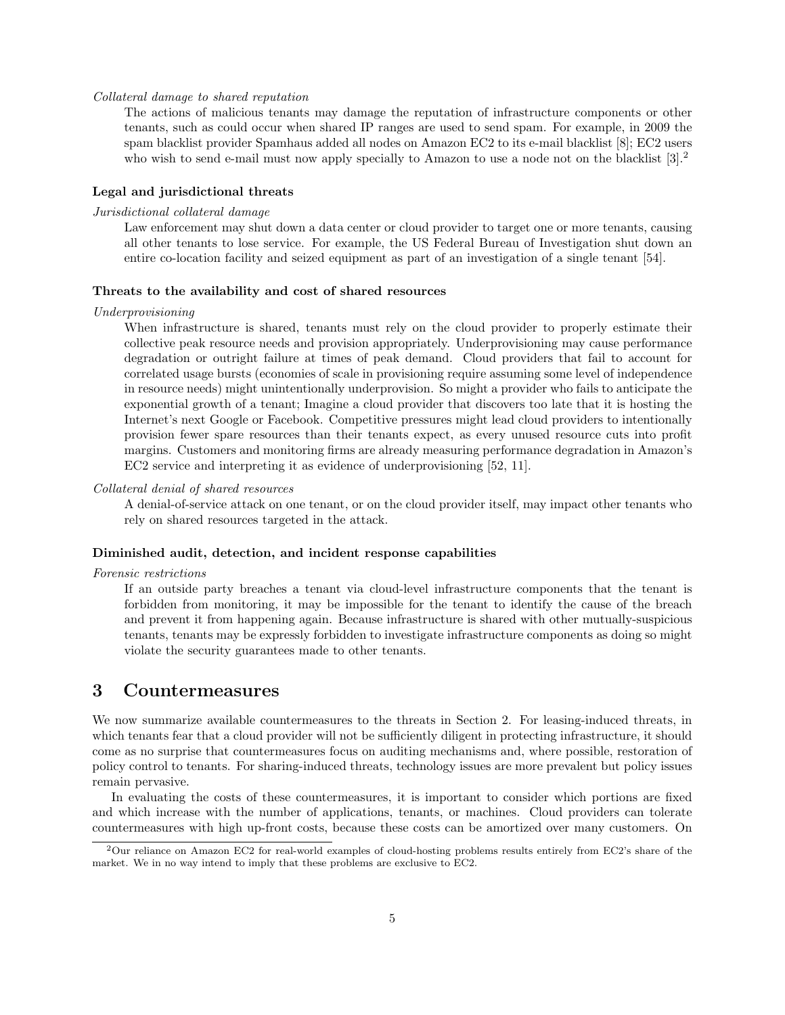### Collateral damage to shared reputation

The actions of malicious tenants may damage the reputation of infrastructure components or other tenants, such as could occur when shared IP ranges are used to send spam. For example, in 2009 the spam blacklist provider Spamhaus added all nodes on Amazon EC2 to its e-mail blacklist [8]; EC2 users who wish to send e-mail must now apply specially to Amazon to use a node not on the blacklist  $[3].<sup>2</sup>$ 

### Legal and jurisdictional threats

### Jurisdictional collateral damage

Law enforcement may shut down a data center or cloud provider to target one or more tenants, causing all other tenants to lose service. For example, the US Federal Bureau of Investigation shut down an entire co-location facility and seized equipment as part of an investigation of a single tenant [54].

### Threats to the availability and cost of shared resources

#### Underprovisioning

When infrastructure is shared, tenants must rely on the cloud provider to properly estimate their collective peak resource needs and provision appropriately. Underprovisioning may cause performance degradation or outright failure at times of peak demand. Cloud providers that fail to account for correlated usage bursts (economies of scale in provisioning require assuming some level of independence in resource needs) might unintentionally underprovision. So might a provider who fails to anticipate the exponential growth of a tenant; Imagine a cloud provider that discovers too late that it is hosting the Internet's next Google or Facebook. Competitive pressures might lead cloud providers to intentionally provision fewer spare resources than their tenants expect, as every unused resource cuts into profit margins. Customers and monitoring firms are already measuring performance degradation in Amazon's EC2 service and interpreting it as evidence of underprovisioning [52, 11].

### Collateral denial of shared resources

A denial-of-service attack on one tenant, or on the cloud provider itself, may impact other tenants who rely on shared resources targeted in the attack.

#### Diminished audit, detection, and incident response capabilities

#### Forensic restrictions

If an outside party breaches a tenant via cloud-level infrastructure components that the tenant is forbidden from monitoring, it may be impossible for the tenant to identify the cause of the breach and prevent it from happening again. Because infrastructure is shared with other mutually-suspicious tenants, tenants may be expressly forbidden to investigate infrastructure components as doing so might violate the security guarantees made to other tenants.

# 3 Countermeasures

We now summarize available countermeasures to the threats in Section 2. For leasing-induced threats, in which tenants fear that a cloud provider will not be sufficiently diligent in protecting infrastructure, it should come as no surprise that countermeasures focus on auditing mechanisms and, where possible, restoration of policy control to tenants. For sharing-induced threats, technology issues are more prevalent but policy issues remain pervasive.

In evaluating the costs of these countermeasures, it is important to consider which portions are fixed and which increase with the number of applications, tenants, or machines. Cloud providers can tolerate countermeasures with high up-front costs, because these costs can be amortized over many customers. On

<sup>2</sup>Our reliance on Amazon EC2 for real-world examples of cloud-hosting problems results entirely from EC2's share of the market. We in no way intend to imply that these problems are exclusive to EC2.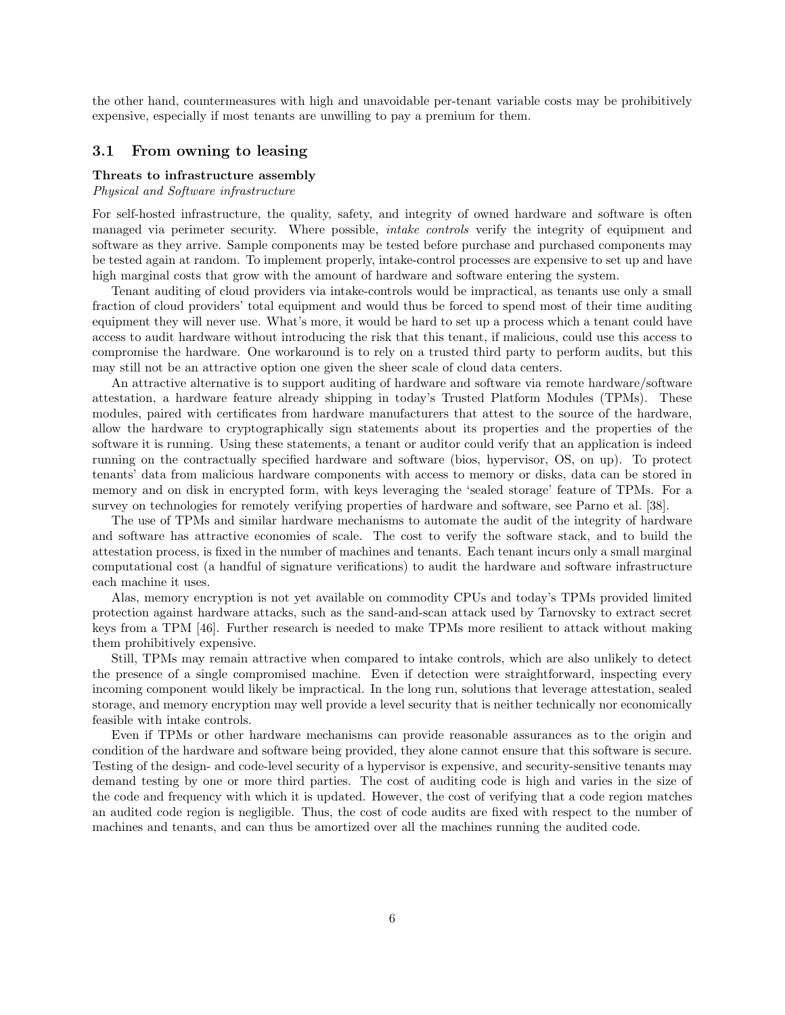the other hand, countermeasures with high and unavoidable per-tenant variable costs may be prohibitively expensive, especially if most tenants are unwilling to pay a premium for them.

### 3.1 From owning to leasing

### Threats to infrastructure assembly

Physical and Software infrastructure

For self-hosted infrastructure, the quality, safety, and integrity of owned hardware and software is often managed via perimeter security. Where possible, *intake controls* verify the integrity of equipment and software as they arrive. Sample components may be tested before purchase and purchased components may be tested again at random. To implement properly, intake-control processes are expensive to set up and have high marginal costs that grow with the amount of hardware and software entering the system.

Tenant auditing of cloud providers via intake-controls would be impractical, as tenants use only a small fraction of cloud providers' total equipment and would thus be forced to spend most of their time auditing equipment they will never use. What's more, it would be hard to set up a process which a tenant could have access to audit hardware without introducing the risk that this tenant, if malicious, could use this access to compromise the hardware. One workaround is to rely on a trusted third party to perform audits, but this may still not be an attractive option one given the sheer scale of cloud data centers.

An attractive alternative is to support auditing of hardware and software via remote hardware/software attestation, a hardware feature already shipping in today's Trusted Platform Modules (TPMs). These modules, paired with certificates from hardware manufacturers that attest to the source of the hardware, allow the hardware to cryptographically sign statements about its properties and the properties of the software it is running. Using these statements, a tenant or auditor could verify that an application is indeed running on the contractually specified hardware and software (bios, hypervisor, OS, on up). To protect tenants' data from malicious hardware components with access to memory or disks, data can be stored in memory and on disk in encrypted form, with keys leveraging the 'sealed storage' feature of TPMs. For a survey on technologies for remotely verifying properties of hardware and software, see Parno et al. [38].

The use of TPMs and similar hardware mechanisms to automate the audit of the integrity of hardware and software has attractive economies of scale. The cost to verify the software stack, and to build the attestation process, is fixed in the number of machines and tenants. Each tenant incurs only a small marginal computational cost (a handful of signature verifications) to audit the hardware and software infrastructure each machine it uses.

Alas, memory encryption is not yet available on commodity CPUs and today's TPMs provided limited protection against hardware attacks, such as the sand-and-scan attack used by Tarnovsky to extract secret keys from a TPM [46]. Further research is needed to make TPMs more resilient to attack without making them prohibitively expensive.

Still, TPMs may remain attractive when compared to intake controls, which are also unlikely to detect the presence of a single compromised machine. Even if detection were straightforward, inspecting every incoming component would likely be impractical. In the long run, solutions that leverage attestation, sealed storage, and memory encryption may well provide a level security that is neither technically nor economically feasible with intake controls.

Even if TPMs or other hardware mechanisms can provide reasonable assurances as to the origin and condition of the hardware and software being provided, they alone cannot ensure that this software is secure. Testing of the design- and code-level security of a hypervisor is expensive, and security-sensitive tenants may demand testing by one or more third parties. The cost of auditing code is high and varies in the size of the code and frequency with which it is updated. However, the cost of verifying that a code region matches an audited code region is negligible. Thus, the cost of code audits are fixed with respect to the number of machines and tenants, and can thus be amortized over all the machines running the audited code.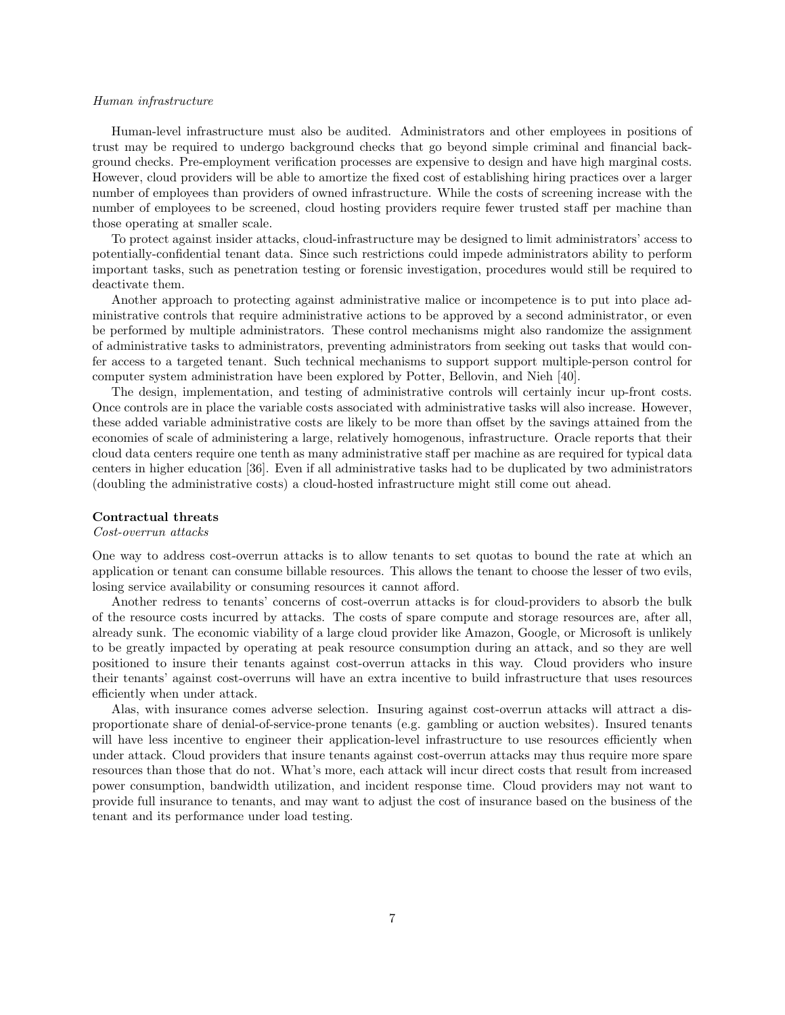#### Human infrastructure

Human-level infrastructure must also be audited. Administrators and other employees in positions of trust may be required to undergo background checks that go beyond simple criminal and financial background checks. Pre-employment verification processes are expensive to design and have high marginal costs. However, cloud providers will be able to amortize the fixed cost of establishing hiring practices over a larger number of employees than providers of owned infrastructure. While the costs of screening increase with the number of employees to be screened, cloud hosting providers require fewer trusted staff per machine than those operating at smaller scale.

To protect against insider attacks, cloud-infrastructure may be designed to limit administrators' access to potentially-confidential tenant data. Since such restrictions could impede administrators ability to perform important tasks, such as penetration testing or forensic investigation, procedures would still be required to deactivate them.

Another approach to protecting against administrative malice or incompetence is to put into place administrative controls that require administrative actions to be approved by a second administrator, or even be performed by multiple administrators. These control mechanisms might also randomize the assignment of administrative tasks to administrators, preventing administrators from seeking out tasks that would confer access to a targeted tenant. Such technical mechanisms to support support multiple-person control for computer system administration have been explored by Potter, Bellovin, and Nieh [40].

The design, implementation, and testing of administrative controls will certainly incur up-front costs. Once controls are in place the variable costs associated with administrative tasks will also increase. However, these added variable administrative costs are likely to be more than offset by the savings attained from the economies of scale of administering a large, relatively homogenous, infrastructure. Oracle reports that their cloud data centers require one tenth as many administrative staff per machine as are required for typical data centers in higher education [36]. Even if all administrative tasks had to be duplicated by two administrators (doubling the administrative costs) a cloud-hosted infrastructure might still come out ahead.

### Contractual threats

### Cost-overrun attacks

One way to address cost-overrun attacks is to allow tenants to set quotas to bound the rate at which an application or tenant can consume billable resources. This allows the tenant to choose the lesser of two evils, losing service availability or consuming resources it cannot afford.

Another redress to tenants' concerns of cost-overrun attacks is for cloud-providers to absorb the bulk of the resource costs incurred by attacks. The costs of spare compute and storage resources are, after all, already sunk. The economic viability of a large cloud provider like Amazon, Google, or Microsoft is unlikely to be greatly impacted by operating at peak resource consumption during an attack, and so they are well positioned to insure their tenants against cost-overrun attacks in this way. Cloud providers who insure their tenants' against cost-overruns will have an extra incentive to build infrastructure that uses resources efficiently when under attack.

Alas, with insurance comes adverse selection. Insuring against cost-overrun attacks will attract a disproportionate share of denial-of-service-prone tenants (e.g. gambling or auction websites). Insured tenants will have less incentive to engineer their application-level infrastructure to use resources efficiently when under attack. Cloud providers that insure tenants against cost-overrun attacks may thus require more spare resources than those that do not. What's more, each attack will incur direct costs that result from increased power consumption, bandwidth utilization, and incident response time. Cloud providers may not want to provide full insurance to tenants, and may want to adjust the cost of insurance based on the business of the tenant and its performance under load testing.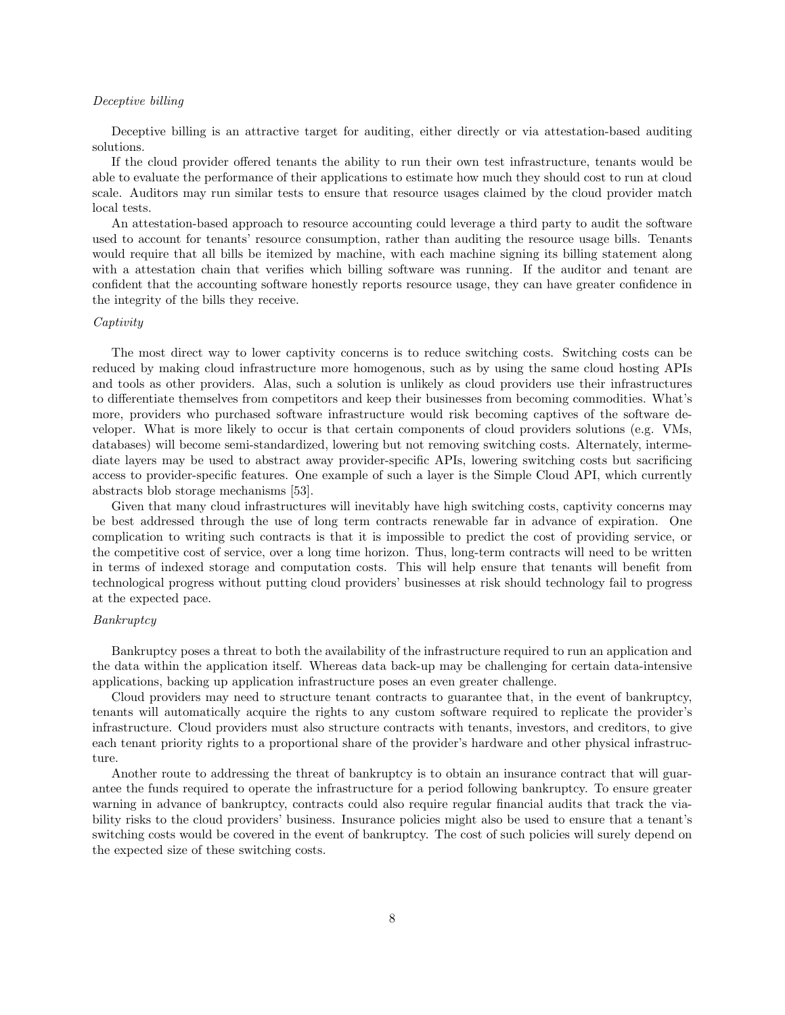#### Deceptive billing

Deceptive billing is an attractive target for auditing, either directly or via attestation-based auditing solutions.

If the cloud provider offered tenants the ability to run their own test infrastructure, tenants would be able to evaluate the performance of their applications to estimate how much they should cost to run at cloud scale. Auditors may run similar tests to ensure that resource usages claimed by the cloud provider match local tests.

An attestation-based approach to resource accounting could leverage a third party to audit the software used to account for tenants' resource consumption, rather than auditing the resource usage bills. Tenants would require that all bills be itemized by machine, with each machine signing its billing statement along with a attestation chain that verifies which billing software was running. If the auditor and tenant are confident that the accounting software honestly reports resource usage, they can have greater confidence in the integrity of the bills they receive.

### Captivity

The most direct way to lower captivity concerns is to reduce switching costs. Switching costs can be reduced by making cloud infrastructure more homogenous, such as by using the same cloud hosting APIs and tools as other providers. Alas, such a solution is unlikely as cloud providers use their infrastructures to differentiate themselves from competitors and keep their businesses from becoming commodities. What's more, providers who purchased software infrastructure would risk becoming captives of the software developer. What is more likely to occur is that certain components of cloud providers solutions (e.g. VMs, databases) will become semi-standardized, lowering but not removing switching costs. Alternately, intermediate layers may be used to abstract away provider-specific APIs, lowering switching costs but sacrificing access to provider-specific features. One example of such a layer is the Simple Cloud API, which currently abstracts blob storage mechanisms [53].

Given that many cloud infrastructures will inevitably have high switching costs, captivity concerns may be best addressed through the use of long term contracts renewable far in advance of expiration. One complication to writing such contracts is that it is impossible to predict the cost of providing service, or the competitive cost of service, over a long time horizon. Thus, long-term contracts will need to be written in terms of indexed storage and computation costs. This will help ensure that tenants will benefit from technological progress without putting cloud providers' businesses at risk should technology fail to progress at the expected pace.

#### Bankruptcy

Bankruptcy poses a threat to both the availability of the infrastructure required to run an application and the data within the application itself. Whereas data back-up may be challenging for certain data-intensive applications, backing up application infrastructure poses an even greater challenge.

Cloud providers may need to structure tenant contracts to guarantee that, in the event of bankruptcy, tenants will automatically acquire the rights to any custom software required to replicate the provider's infrastructure. Cloud providers must also structure contracts with tenants, investors, and creditors, to give each tenant priority rights to a proportional share of the provider's hardware and other physical infrastructure.

Another route to addressing the threat of bankruptcy is to obtain an insurance contract that will guarantee the funds required to operate the infrastructure for a period following bankruptcy. To ensure greater warning in advance of bankruptcy, contracts could also require regular financial audits that track the viability risks to the cloud providers' business. Insurance policies might also be used to ensure that a tenant's switching costs would be covered in the event of bankruptcy. The cost of such policies will surely depend on the expected size of these switching costs.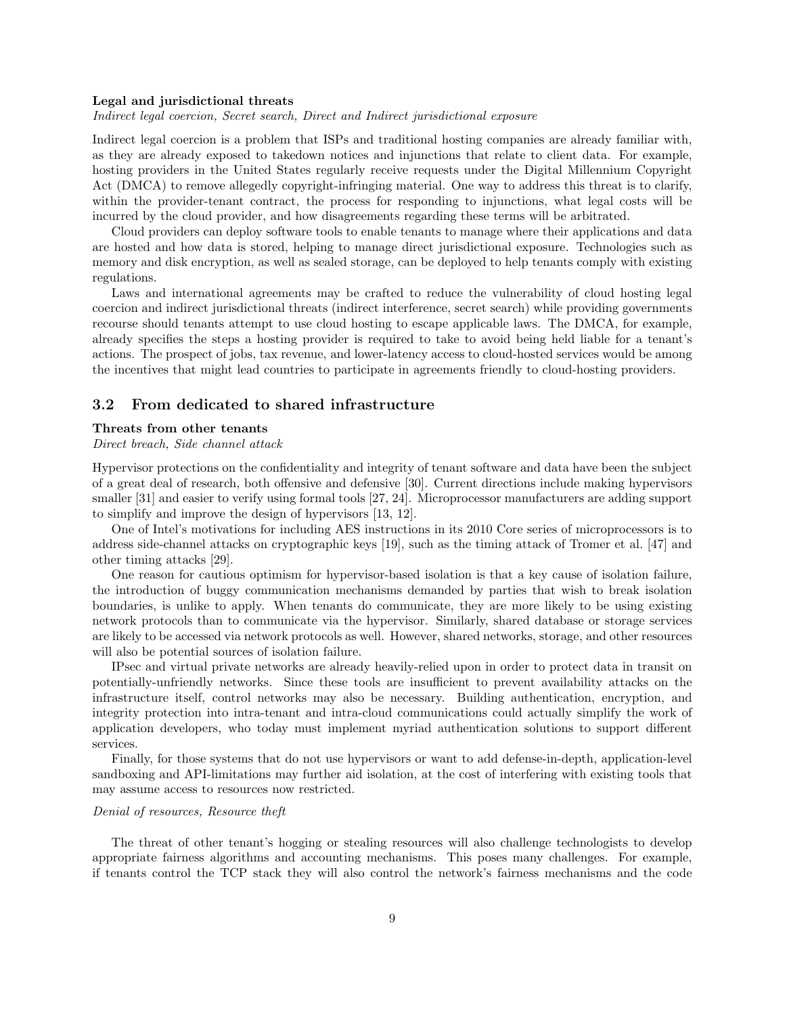#### Legal and jurisdictional threats

Indirect legal coercion, Secret search, Direct and Indirect jurisdictional exposure

Indirect legal coercion is a problem that ISPs and traditional hosting companies are already familiar with, as they are already exposed to takedown notices and injunctions that relate to client data. For example, hosting providers in the United States regularly receive requests under the Digital Millennium Copyright Act (DMCA) to remove allegedly copyright-infringing material. One way to address this threat is to clarify, within the provider-tenant contract, the process for responding to injunctions, what legal costs will be incurred by the cloud provider, and how disagreements regarding these terms will be arbitrated.

Cloud providers can deploy software tools to enable tenants to manage where their applications and data are hosted and how data is stored, helping to manage direct jurisdictional exposure. Technologies such as memory and disk encryption, as well as sealed storage, can be deployed to help tenants comply with existing regulations.

Laws and international agreements may be crafted to reduce the vulnerability of cloud hosting legal coercion and indirect jurisdictional threats (indirect interference, secret search) while providing governments recourse should tenants attempt to use cloud hosting to escape applicable laws. The DMCA, for example, already specifies the steps a hosting provider is required to take to avoid being held liable for a tenant's actions. The prospect of jobs, tax revenue, and lower-latency access to cloud-hosted services would be among the incentives that might lead countries to participate in agreements friendly to cloud-hosting providers.

### 3.2 From dedicated to shared infrastructure

#### Threats from other tenants

### Direct breach, Side channel attack

Hypervisor protections on the confidentiality and integrity of tenant software and data have been the subject of a great deal of research, both offensive and defensive [30]. Current directions include making hypervisors smaller [31] and easier to verify using formal tools [27, 24]. Microprocessor manufacturers are adding support to simplify and improve the design of hypervisors [13, 12].

One of Intel's motivations for including AES instructions in its 2010 Core series of microprocessors is to address side-channel attacks on cryptographic keys [19], such as the timing attack of Tromer et al. [47] and other timing attacks [29].

One reason for cautious optimism for hypervisor-based isolation is that a key cause of isolation failure, the introduction of buggy communication mechanisms demanded by parties that wish to break isolation boundaries, is unlike to apply. When tenants do communicate, they are more likely to be using existing network protocols than to communicate via the hypervisor. Similarly, shared database or storage services are likely to be accessed via network protocols as well. However, shared networks, storage, and other resources will also be potential sources of isolation failure.

IPsec and virtual private networks are already heavily-relied upon in order to protect data in transit on potentially-unfriendly networks. Since these tools are insufficient to prevent availability attacks on the infrastructure itself, control networks may also be necessary. Building authentication, encryption, and integrity protection into intra-tenant and intra-cloud communications could actually simplify the work of application developers, who today must implement myriad authentication solutions to support different services.

Finally, for those systems that do not use hypervisors or want to add defense-in-depth, application-level sandboxing and API-limitations may further aid isolation, at the cost of interfering with existing tools that may assume access to resources now restricted.

### Denial of resources, Resource theft

The threat of other tenant's hogging or stealing resources will also challenge technologists to develop appropriate fairness algorithms and accounting mechanisms. This poses many challenges. For example, if tenants control the TCP stack they will also control the network's fairness mechanisms and the code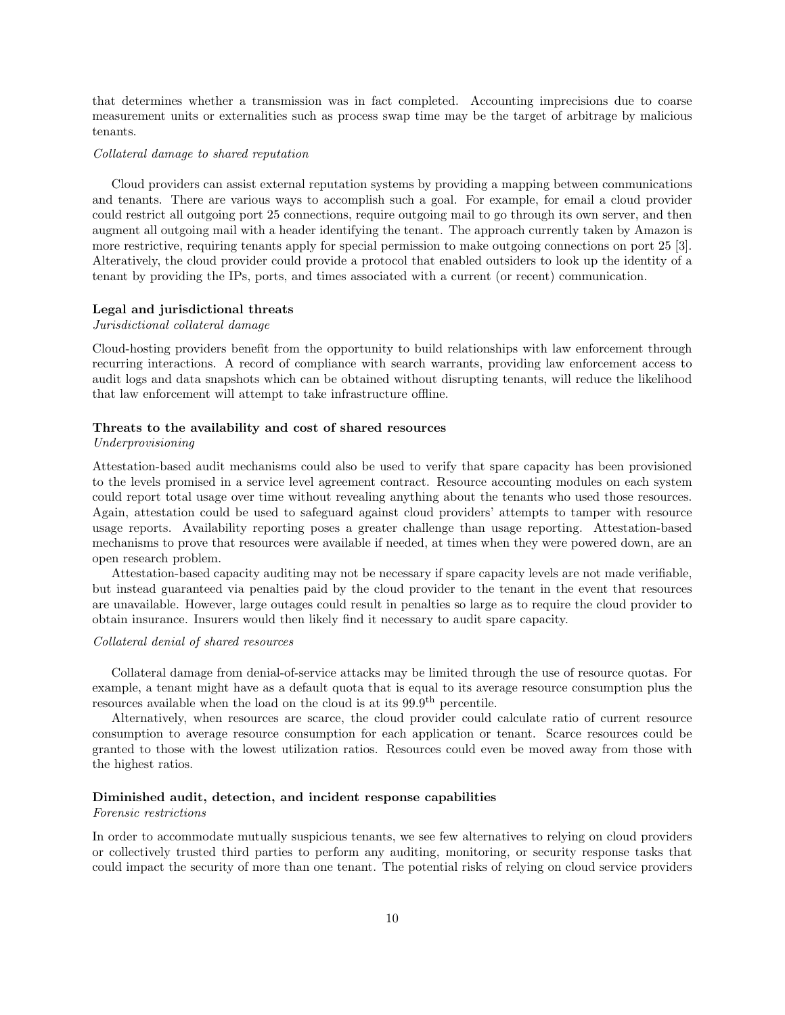that determines whether a transmission was in fact completed. Accounting imprecisions due to coarse measurement units or externalities such as process swap time may be the target of arbitrage by malicious tenants.

### Collateral damage to shared reputation

Cloud providers can assist external reputation systems by providing a mapping between communications and tenants. There are various ways to accomplish such a goal. For example, for email a cloud provider could restrict all outgoing port 25 connections, require outgoing mail to go through its own server, and then augment all outgoing mail with a header identifying the tenant. The approach currently taken by Amazon is more restrictive, requiring tenants apply for special permission to make outgoing connections on port 25 [3]. Alteratively, the cloud provider could provide a protocol that enabled outsiders to look up the identity of a tenant by providing the IPs, ports, and times associated with a current (or recent) communication.

### Legal and jurisdictional threats

### Jurisdictional collateral damage

Cloud-hosting providers benefit from the opportunity to build relationships with law enforcement through recurring interactions. A record of compliance with search warrants, providing law enforcement access to audit logs and data snapshots which can be obtained without disrupting tenants, will reduce the likelihood that law enforcement will attempt to take infrastructure offline.

#### Threats to the availability and cost of shared resources

### Underprovisioning

Attestation-based audit mechanisms could also be used to verify that spare capacity has been provisioned to the levels promised in a service level agreement contract. Resource accounting modules on each system could report total usage over time without revealing anything about the tenants who used those resources. Again, attestation could be used to safeguard against cloud providers' attempts to tamper with resource usage reports. Availability reporting poses a greater challenge than usage reporting. Attestation-based mechanisms to prove that resources were available if needed, at times when they were powered down, are an open research problem.

Attestation-based capacity auditing may not be necessary if spare capacity levels are not made verifiable, but instead guaranteed via penalties paid by the cloud provider to the tenant in the event that resources are unavailable. However, large outages could result in penalties so large as to require the cloud provider to obtain insurance. Insurers would then likely find it necessary to audit spare capacity.

### Collateral denial of shared resources

Collateral damage from denial-of-service attacks may be limited through the use of resource quotas. For example, a tenant might have as a default quota that is equal to its average resource consumption plus the resources available when the load on the cloud is at its 99.9<sup>th</sup> percentile.

Alternatively, when resources are scarce, the cloud provider could calculate ratio of current resource consumption to average resource consumption for each application or tenant. Scarce resources could be granted to those with the lowest utilization ratios. Resources could even be moved away from those with the highest ratios.

### Diminished audit, detection, and incident response capabilities

#### Forensic restrictions

In order to accommodate mutually suspicious tenants, we see few alternatives to relying on cloud providers or collectively trusted third parties to perform any auditing, monitoring, or security response tasks that could impact the security of more than one tenant. The potential risks of relying on cloud service providers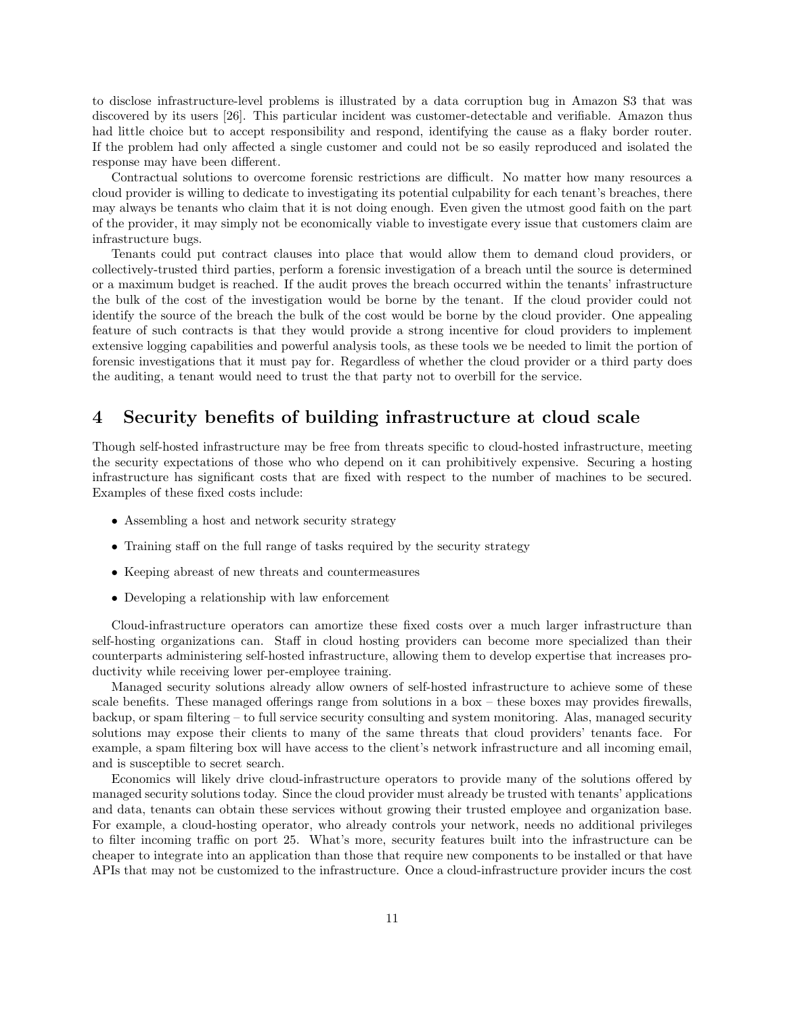to disclose infrastructure-level problems is illustrated by a data corruption bug in Amazon S3 that was discovered by its users [26]. This particular incident was customer-detectable and verifiable. Amazon thus had little choice but to accept responsibility and respond, identifying the cause as a flaky border router. If the problem had only affected a single customer and could not be so easily reproduced and isolated the response may have been different.

Contractual solutions to overcome forensic restrictions are difficult. No matter how many resources a cloud provider is willing to dedicate to investigating its potential culpability for each tenant's breaches, there may always be tenants who claim that it is not doing enough. Even given the utmost good faith on the part of the provider, it may simply not be economically viable to investigate every issue that customers claim are infrastructure bugs.

Tenants could put contract clauses into place that would allow them to demand cloud providers, or collectively-trusted third parties, perform a forensic investigation of a breach until the source is determined or a maximum budget is reached. If the audit proves the breach occurred within the tenants' infrastructure the bulk of the cost of the investigation would be borne by the tenant. If the cloud provider could not identify the source of the breach the bulk of the cost would be borne by the cloud provider. One appealing feature of such contracts is that they would provide a strong incentive for cloud providers to implement extensive logging capabilities and powerful analysis tools, as these tools we be needed to limit the portion of forensic investigations that it must pay for. Regardless of whether the cloud provider or a third party does the auditing, a tenant would need to trust the that party not to overbill for the service.

# 4 Security benefits of building infrastructure at cloud scale

Though self-hosted infrastructure may be free from threats specific to cloud-hosted infrastructure, meeting the security expectations of those who who depend on it can prohibitively expensive. Securing a hosting infrastructure has significant costs that are fixed with respect to the number of machines to be secured. Examples of these fixed costs include:

- Assembling a host and network security strategy
- Training staff on the full range of tasks required by the security strategy
- Keeping abreast of new threats and countermeasures
- Developing a relationship with law enforcement

Cloud-infrastructure operators can amortize these fixed costs over a much larger infrastructure than self-hosting organizations can. Staff in cloud hosting providers can become more specialized than their counterparts administering self-hosted infrastructure, allowing them to develop expertise that increases productivity while receiving lower per-employee training.

Managed security solutions already allow owners of self-hosted infrastructure to achieve some of these scale benefits. These managed offerings range from solutions in a box – these boxes may provides firewalls, backup, or spam filtering – to full service security consulting and system monitoring. Alas, managed security solutions may expose their clients to many of the same threats that cloud providers' tenants face. For example, a spam filtering box will have access to the client's network infrastructure and all incoming email, and is susceptible to secret search.

Economics will likely drive cloud-infrastructure operators to provide many of the solutions offered by managed security solutions today. Since the cloud provider must already be trusted with tenants' applications and data, tenants can obtain these services without growing their trusted employee and organization base. For example, a cloud-hosting operator, who already controls your network, needs no additional privileges to filter incoming traffic on port 25. What's more, security features built into the infrastructure can be cheaper to integrate into an application than those that require new components to be installed or that have APIs that may not be customized to the infrastructure. Once a cloud-infrastructure provider incurs the cost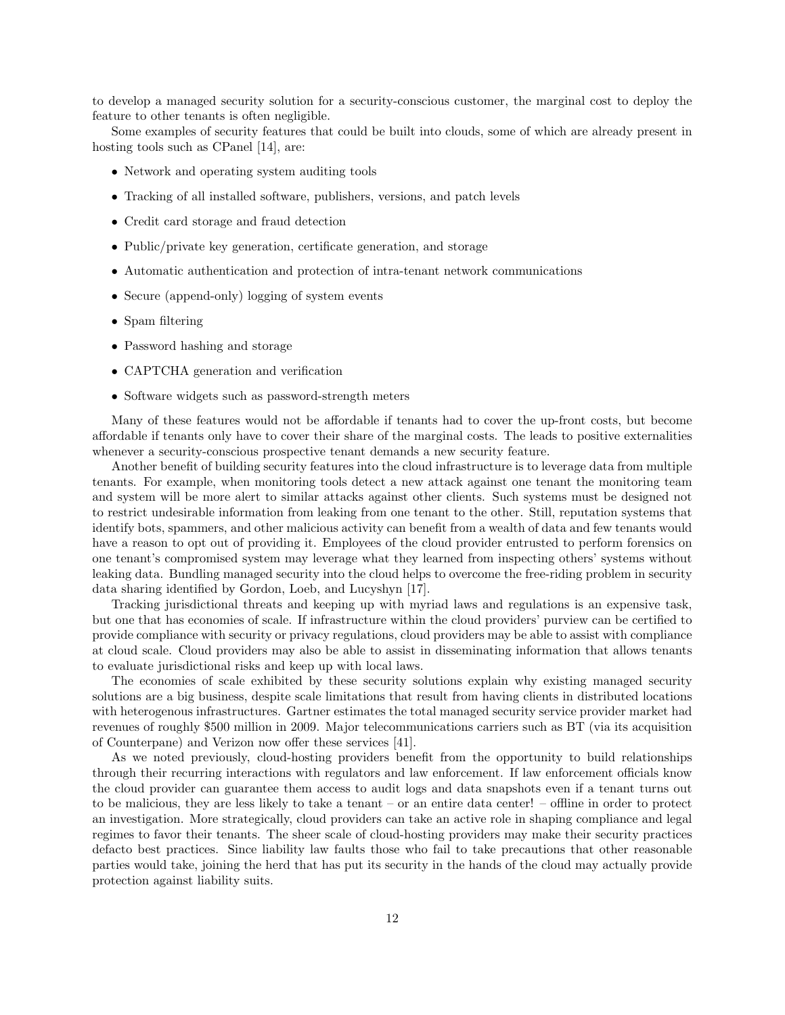to develop a managed security solution for a security-conscious customer, the marginal cost to deploy the feature to other tenants is often negligible.

Some examples of security features that could be built into clouds, some of which are already present in hosting tools such as CPanel [14], are:

- Network and operating system auditing tools
- Tracking of all installed software, publishers, versions, and patch levels
- Credit card storage and fraud detection
- Public/private key generation, certificate generation, and storage
- Automatic authentication and protection of intra-tenant network communications
- Secure (append-only) logging of system events
- Spam filtering
- Password hashing and storage
- CAPTCHA generation and verification
- Software widgets such as password-strength meters

Many of these features would not be affordable if tenants had to cover the up-front costs, but become affordable if tenants only have to cover their share of the marginal costs. The leads to positive externalities whenever a security-conscious prospective tenant demands a new security feature.

Another benefit of building security features into the cloud infrastructure is to leverage data from multiple tenants. For example, when monitoring tools detect a new attack against one tenant the monitoring team and system will be more alert to similar attacks against other clients. Such systems must be designed not to restrict undesirable information from leaking from one tenant to the other. Still, reputation systems that identify bots, spammers, and other malicious activity can benefit from a wealth of data and few tenants would have a reason to opt out of providing it. Employees of the cloud provider entrusted to perform forensics on one tenant's compromised system may leverage what they learned from inspecting others' systems without leaking data. Bundling managed security into the cloud helps to overcome the free-riding problem in security data sharing identified by Gordon, Loeb, and Lucyshyn [17].

Tracking jurisdictional threats and keeping up with myriad laws and regulations is an expensive task, but one that has economies of scale. If infrastructure within the cloud providers' purview can be certified to provide compliance with security or privacy regulations, cloud providers may be able to assist with compliance at cloud scale. Cloud providers may also be able to assist in disseminating information that allows tenants to evaluate jurisdictional risks and keep up with local laws.

The economies of scale exhibited by these security solutions explain why existing managed security solutions are a big business, despite scale limitations that result from having clients in distributed locations with heterogenous infrastructures. Gartner estimates the total managed security service provider market had revenues of roughly \$500 million in 2009. Major telecommunications carriers such as BT (via its acquisition of Counterpane) and Verizon now offer these services [41].

As we noted previously, cloud-hosting providers benefit from the opportunity to build relationships through their recurring interactions with regulators and law enforcement. If law enforcement officials know the cloud provider can guarantee them access to audit logs and data snapshots even if a tenant turns out to be malicious, they are less likely to take a tenant – or an entire data center! – offline in order to protect an investigation. More strategically, cloud providers can take an active role in shaping compliance and legal regimes to favor their tenants. The sheer scale of cloud-hosting providers may make their security practices defacto best practices. Since liability law faults those who fail to take precautions that other reasonable parties would take, joining the herd that has put its security in the hands of the cloud may actually provide protection against liability suits.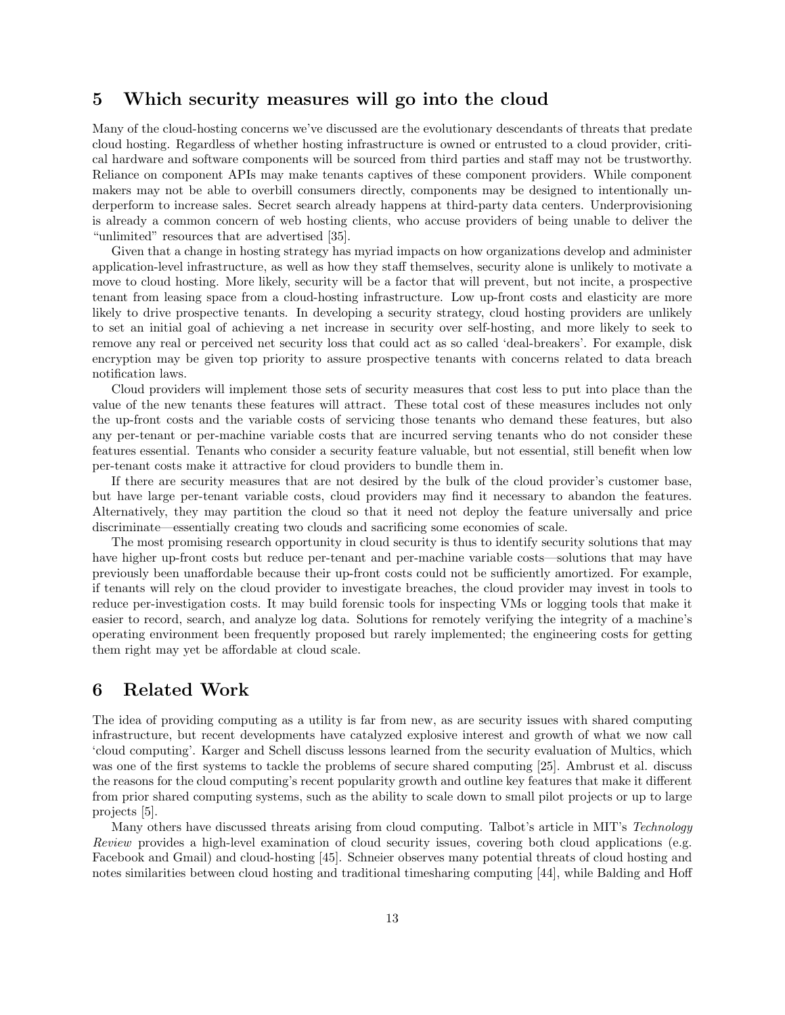# 5 Which security measures will go into the cloud

Many of the cloud-hosting concerns we've discussed are the evolutionary descendants of threats that predate cloud hosting. Regardless of whether hosting infrastructure is owned or entrusted to a cloud provider, critical hardware and software components will be sourced from third parties and staff may not be trustworthy. Reliance on component APIs may make tenants captives of these component providers. While component makers may not be able to overbill consumers directly, components may be designed to intentionally underperform to increase sales. Secret search already happens at third-party data centers. Underprovisioning is already a common concern of web hosting clients, who accuse providers of being unable to deliver the "unlimited" resources that are advertised [35].

Given that a change in hosting strategy has myriad impacts on how organizations develop and administer application-level infrastructure, as well as how they staff themselves, security alone is unlikely to motivate a move to cloud hosting. More likely, security will be a factor that will prevent, but not incite, a prospective tenant from leasing space from a cloud-hosting infrastructure. Low up-front costs and elasticity are more likely to drive prospective tenants. In developing a security strategy, cloud hosting providers are unlikely to set an initial goal of achieving a net increase in security over self-hosting, and more likely to seek to remove any real or perceived net security loss that could act as so called 'deal-breakers'. For example, disk encryption may be given top priority to assure prospective tenants with concerns related to data breach notification laws.

Cloud providers will implement those sets of security measures that cost less to put into place than the value of the new tenants these features will attract. These total cost of these measures includes not only the up-front costs and the variable costs of servicing those tenants who demand these features, but also any per-tenant or per-machine variable costs that are incurred serving tenants who do not consider these features essential. Tenants who consider a security feature valuable, but not essential, still benefit when low per-tenant costs make it attractive for cloud providers to bundle them in.

If there are security measures that are not desired by the bulk of the cloud provider's customer base, but have large per-tenant variable costs, cloud providers may find it necessary to abandon the features. Alternatively, they may partition the cloud so that it need not deploy the feature universally and price discriminate—essentially creating two clouds and sacrificing some economies of scale.

The most promising research opportunity in cloud security is thus to identify security solutions that may have higher up-front costs but reduce per-tenant and per-machine variable costs—solutions that may have previously been unaffordable because their up-front costs could not be sufficiently amortized. For example, if tenants will rely on the cloud provider to investigate breaches, the cloud provider may invest in tools to reduce per-investigation costs. It may build forensic tools for inspecting VMs or logging tools that make it easier to record, search, and analyze log data. Solutions for remotely verifying the integrity of a machine's operating environment been frequently proposed but rarely implemented; the engineering costs for getting them right may yet be affordable at cloud scale.

# 6 Related Work

The idea of providing computing as a utility is far from new, as are security issues with shared computing infrastructure, but recent developments have catalyzed explosive interest and growth of what we now call 'cloud computing'. Karger and Schell discuss lessons learned from the security evaluation of Multics, which was one of the first systems to tackle the problems of secure shared computing [25]. Ambrust et al. discuss the reasons for the cloud computing's recent popularity growth and outline key features that make it different from prior shared computing systems, such as the ability to scale down to small pilot projects or up to large projects [5].

Many others have discussed threats arising from cloud computing. Talbot's article in MIT's Technology Review provides a high-level examination of cloud security issues, covering both cloud applications (e.g. Facebook and Gmail) and cloud-hosting [45]. Schneier observes many potential threats of cloud hosting and notes similarities between cloud hosting and traditional timesharing computing [44], while Balding and Hoff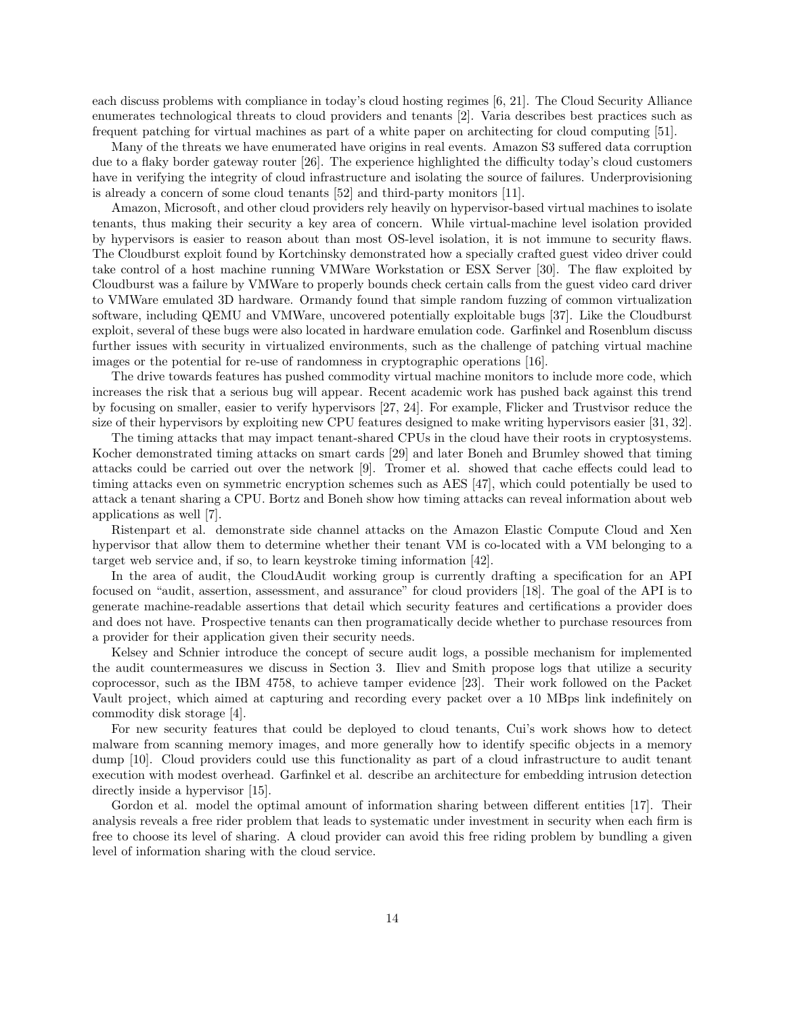each discuss problems with compliance in today's cloud hosting regimes [6, 21]. The Cloud Security Alliance enumerates technological threats to cloud providers and tenants [2]. Varia describes best practices such as frequent patching for virtual machines as part of a white paper on architecting for cloud computing [51].

Many of the threats we have enumerated have origins in real events. Amazon S3 suffered data corruption due to a flaky border gateway router [26]. The experience highlighted the difficulty today's cloud customers have in verifying the integrity of cloud infrastructure and isolating the source of failures. Underprovisioning is already a concern of some cloud tenants [52] and third-party monitors [11].

Amazon, Microsoft, and other cloud providers rely heavily on hypervisor-based virtual machines to isolate tenants, thus making their security a key area of concern. While virtual-machine level isolation provided by hypervisors is easier to reason about than most OS-level isolation, it is not immune to security flaws. The Cloudburst exploit found by Kortchinsky demonstrated how a specially crafted guest video driver could take control of a host machine running VMWare Workstation or ESX Server [30]. The flaw exploited by Cloudburst was a failure by VMWare to properly bounds check certain calls from the guest video card driver to VMWare emulated 3D hardware. Ormandy found that simple random fuzzing of common virtualization software, including QEMU and VMWare, uncovered potentially exploitable bugs [37]. Like the Cloudburst exploit, several of these bugs were also located in hardware emulation code. Garfinkel and Rosenblum discuss further issues with security in virtualized environments, such as the challenge of patching virtual machine images or the potential for re-use of randomness in cryptographic operations [16].

The drive towards features has pushed commodity virtual machine monitors to include more code, which increases the risk that a serious bug will appear. Recent academic work has pushed back against this trend by focusing on smaller, easier to verify hypervisors [27, 24]. For example, Flicker and Trustvisor reduce the size of their hypervisors by exploiting new CPU features designed to make writing hypervisors easier [31, 32].

The timing attacks that may impact tenant-shared CPUs in the cloud have their roots in cryptosystems. Kocher demonstrated timing attacks on smart cards [29] and later Boneh and Brumley showed that timing attacks could be carried out over the network [9]. Tromer et al. showed that cache effects could lead to timing attacks even on symmetric encryption schemes such as AES [47], which could potentially be used to attack a tenant sharing a CPU. Bortz and Boneh show how timing attacks can reveal information about web applications as well [7].

Ristenpart et al. demonstrate side channel attacks on the Amazon Elastic Compute Cloud and Xen hypervisor that allow them to determine whether their tenant VM is co-located with a VM belonging to a target web service and, if so, to learn keystroke timing information [42].

In the area of audit, the CloudAudit working group is currently drafting a specification for an API focused on "audit, assertion, assessment, and assurance" for cloud providers [18]. The goal of the API is to generate machine-readable assertions that detail which security features and certifications a provider does and does not have. Prospective tenants can then programatically decide whether to purchase resources from a provider for their application given their security needs.

Kelsey and Schnier introduce the concept of secure audit logs, a possible mechanism for implemented the audit countermeasures we discuss in Section 3. Iliev and Smith propose logs that utilize a security coprocessor, such as the IBM 4758, to achieve tamper evidence [23]. Their work followed on the Packet Vault project, which aimed at capturing and recording every packet over a 10 MBps link indefinitely on commodity disk storage [4].

For new security features that could be deployed to cloud tenants, Cui's work shows how to detect malware from scanning memory images, and more generally how to identify specific objects in a memory dump [10]. Cloud providers could use this functionality as part of a cloud infrastructure to audit tenant execution with modest overhead. Garfinkel et al. describe an architecture for embedding intrusion detection directly inside a hypervisor [15].

Gordon et al. model the optimal amount of information sharing between different entities [17]. Their analysis reveals a free rider problem that leads to systematic under investment in security when each firm is free to choose its level of sharing. A cloud provider can avoid this free riding problem by bundling a given level of information sharing with the cloud service.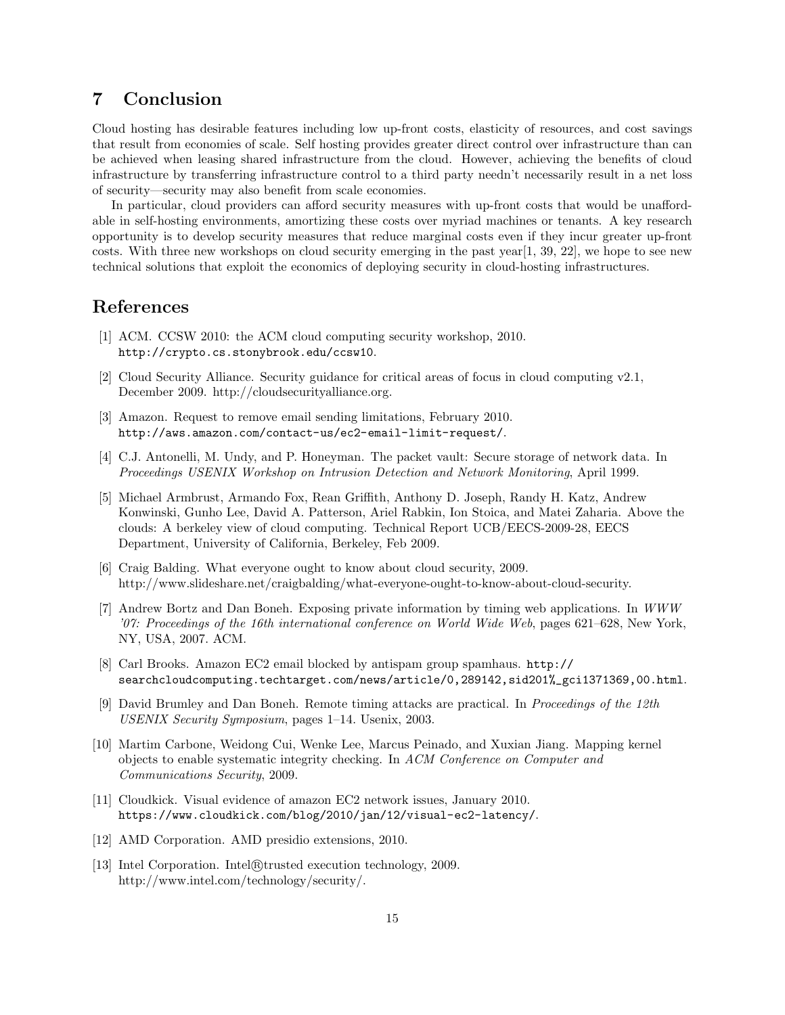# 7 Conclusion

Cloud hosting has desirable features including low up-front costs, elasticity of resources, and cost savings that result from economies of scale. Self hosting provides greater direct control over infrastructure than can be achieved when leasing shared infrastructure from the cloud. However, achieving the benefits of cloud infrastructure by transferring infrastructure control to a third party needn't necessarily result in a net loss of security—security may also benefit from scale economies.

In particular, cloud providers can afford security measures with up-front costs that would be unaffordable in self-hosting environments, amortizing these costs over myriad machines or tenants. A key research opportunity is to develop security measures that reduce marginal costs even if they incur greater up-front costs. With three new workshops on cloud security emerging in the past year[1, 39, 22], we hope to see new technical solutions that exploit the economics of deploying security in cloud-hosting infrastructures.

## References

- [1] ACM. CCSW 2010: the ACM cloud computing security workshop, 2010. http://crypto.cs.stonybrook.edu/ccsw10.
- [2] Cloud Security Alliance. Security guidance for critical areas of focus in cloud computing v2.1, December 2009. http://cloudsecurityalliance.org.
- [3] Amazon. Request to remove email sending limitations, February 2010. http://aws.amazon.com/contact-us/ec2-email-limit-request/.
- [4] C.J. Antonelli, M. Undy, and P. Honeyman. The packet vault: Secure storage of network data. In Proceedings USENIX Workshop on Intrusion Detection and Network Monitoring, April 1999.
- [5] Michael Armbrust, Armando Fox, Rean Griffith, Anthony D. Joseph, Randy H. Katz, Andrew Konwinski, Gunho Lee, David A. Patterson, Ariel Rabkin, Ion Stoica, and Matei Zaharia. Above the clouds: A berkeley view of cloud computing. Technical Report UCB/EECS-2009-28, EECS Department, University of California, Berkeley, Feb 2009.
- [6] Craig Balding. What everyone ought to know about cloud security, 2009. http://www.slideshare.net/craigbalding/what-everyone-ought-to-know-about-cloud-security.
- [7] Andrew Bortz and Dan Boneh. Exposing private information by timing web applications. In WWW '07: Proceedings of the 16th international conference on World Wide Web, pages 621–628, New York, NY, USA, 2007. ACM.
- [8] Carl Brooks. Amazon EC2 email blocked by antispam group spamhaus. http:// searchcloudcomputing.techtarget.com/news/article/0,289142,sid201%\_gci1371369,00.html.
- [9] David Brumley and Dan Boneh. Remote timing attacks are practical. In Proceedings of the 12th USENIX Security Symposium, pages 1–14. Usenix, 2003.
- [10] Martim Carbone, Weidong Cui, Wenke Lee, Marcus Peinado, and Xuxian Jiang. Mapping kernel objects to enable systematic integrity checking. In ACM Conference on Computer and Communications Security, 2009.
- [11] Cloudkick. Visual evidence of amazon EC2 network issues, January 2010. https://www.cloudkick.com/blog/2010/jan/12/visual-ec2-latency/.
- [12] AMD Corporation. AMD presidio extensions, 2010.
- [13] Intel Corporation. Intel®trusted execution technology, 2009. http://www.intel.com/technology/security/.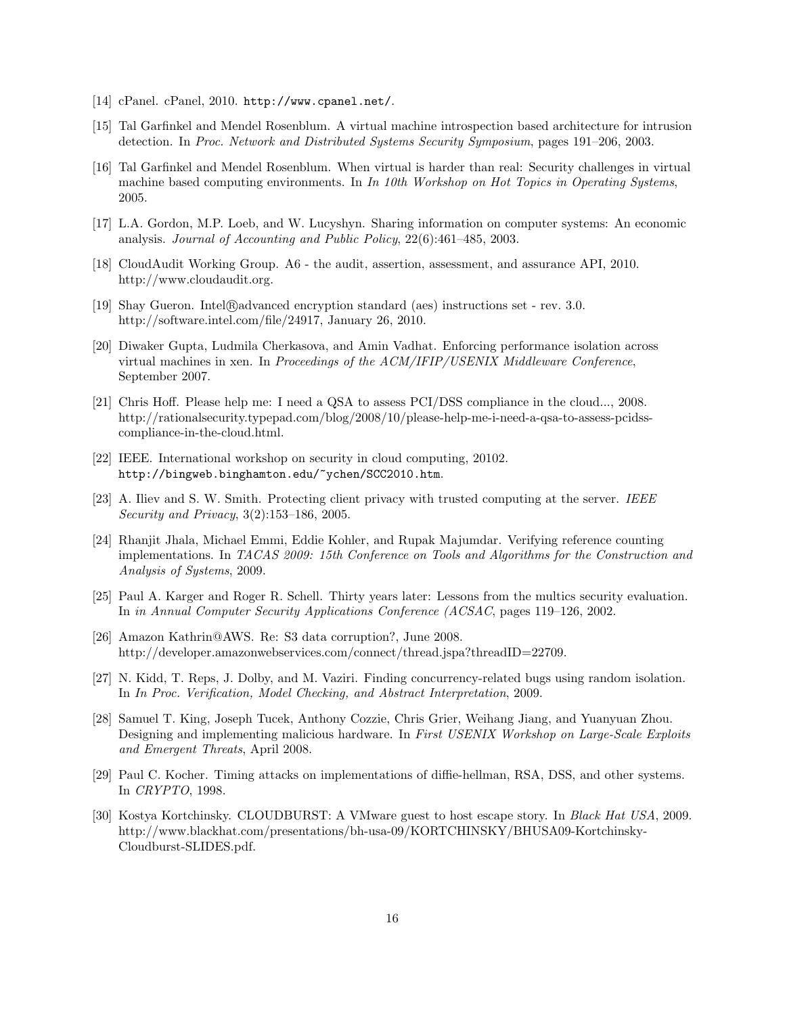- [14] cPanel. cPanel, 2010. http://www.cpanel.net/.
- [15] Tal Garfinkel and Mendel Rosenblum. A virtual machine introspection based architecture for intrusion detection. In Proc. Network and Distributed Systems Security Symposium, pages 191–206, 2003.
- [16] Tal Garfinkel and Mendel Rosenblum. When virtual is harder than real: Security challenges in virtual machine based computing environments. In  $In$  10th Workshop on Hot Topics in Operating Systems, 2005.
- [17] L.A. Gordon, M.P. Loeb, and W. Lucyshyn. Sharing information on computer systems: An economic analysis. Journal of Accounting and Public Policy, 22(6):461–485, 2003.
- [18] CloudAudit Working Group. A6 the audit, assertion, assessment, and assurance API, 2010. http://www.cloudaudit.org.
- [19] Shay Gueron. Intel®advanced encryption standard (aes) instructions set rev. 3.0. http://software.intel.com/file/24917, January 26, 2010.
- [20] Diwaker Gupta, Ludmila Cherkasova, and Amin Vadhat. Enforcing performance isolation across virtual machines in xen. In Proceedings of the ACM/IFIP/USENIX Middleware Conference, September 2007.
- [21] Chris Hoff. Please help me: I need a QSA to assess PCI/DSS compliance in the cloud..., 2008. http://rationalsecurity.typepad.com/blog/2008/10/please-help-me-i-need-a-qsa-to-assess-pcidsscompliance-in-the-cloud.html.
- [22] IEEE. International workshop on security in cloud computing, 20102. http://bingweb.binghamton.edu/~ychen/SCC2010.htm.
- [23] A. Iliev and S. W. Smith. Protecting client privacy with trusted computing at the server. IEEE Security and Privacy, 3(2):153–186, 2005.
- [24] Rhanjit Jhala, Michael Emmi, Eddie Kohler, and Rupak Majumdar. Verifying reference counting implementations. In TACAS 2009: 15th Conference on Tools and Algorithms for the Construction and Analysis of Systems, 2009.
- [25] Paul A. Karger and Roger R. Schell. Thirty years later: Lessons from the multics security evaluation. In in Annual Computer Security Applications Conference (ACSAC, pages 119–126, 2002.
- [26] Amazon Kathrin@AWS. Re: S3 data corruption?, June 2008. http://developer.amazonwebservices.com/connect/thread.jspa?threadID=22709.
- [27] N. Kidd, T. Reps, J. Dolby, and M. Vaziri. Finding concurrency-related bugs using random isolation. In In Proc. Verification, Model Checking, and Abstract Interpretation, 2009.
- [28] Samuel T. King, Joseph Tucek, Anthony Cozzie, Chris Grier, Weihang Jiang, and Yuanyuan Zhou. Designing and implementing malicious hardware. In First USENIX Workshop on Large-Scale Exploits and Emergent Threats, April 2008.
- [29] Paul C. Kocher. Timing attacks on implementations of diffie-hellman, RSA, DSS, and other systems. In CRYPTO, 1998.
- [30] Kostya Kortchinsky. CLOUDBURST: A VMware guest to host escape story. In Black Hat USA, 2009. http://www.blackhat.com/presentations/bh-usa-09/KORTCHINSKY/BHUSA09-Kortchinsky-Cloudburst-SLIDES.pdf.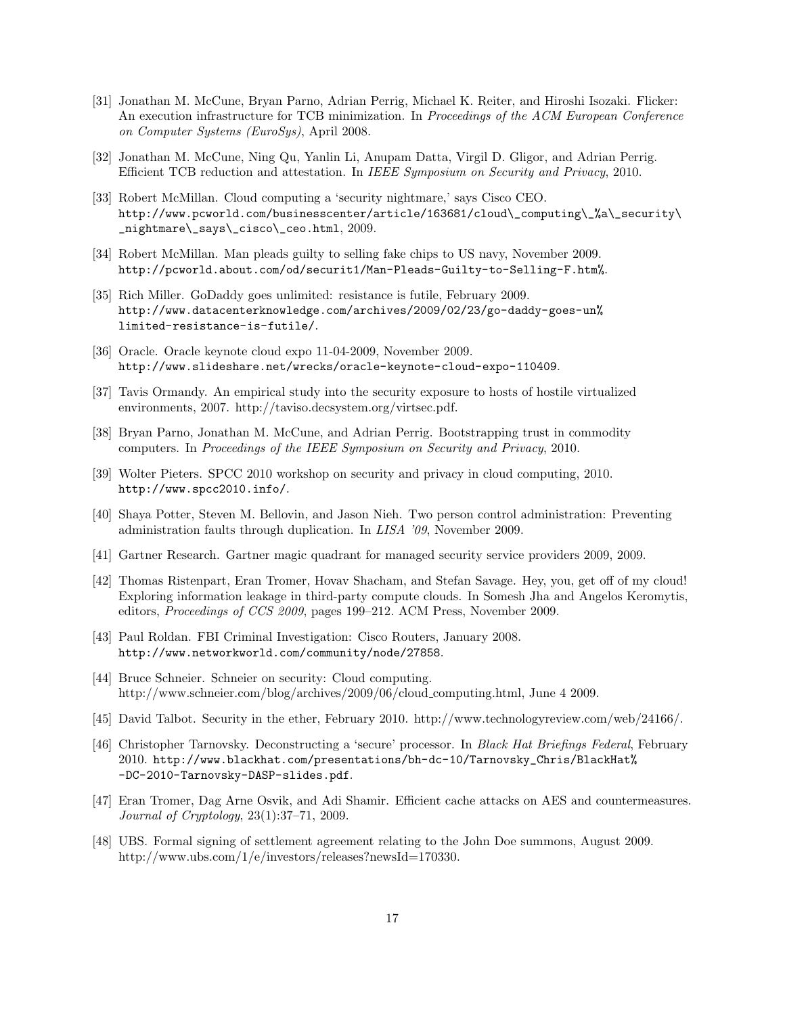- [31] Jonathan M. McCune, Bryan Parno, Adrian Perrig, Michael K. Reiter, and Hiroshi Isozaki. Flicker: An execution infrastructure for TCB minimization. In Proceedings of the ACM European Conference on Computer Systems (EuroSys), April 2008.
- [32] Jonathan M. McCune, Ning Qu, Yanlin Li, Anupam Datta, Virgil D. Gligor, and Adrian Perrig. Efficient TCB reduction and attestation. In IEEE Symposium on Security and Privacy, 2010.
- [33] Robert McMillan. Cloud computing a 'security nightmare,' says Cisco CEO. http://www.pcworld.com/businesscenter/article/163681/cloud\\_computing\\_%a\\_security\ \_nightmare\\_says\\_cisco\\_ceo.html, 2009.
- [34] Robert McMillan. Man pleads guilty to selling fake chips to US navy, November 2009. http://pcworld.about.com/od/securit1/Man-Pleads-Guilty-to-Selling-F.htm%.
- [35] Rich Miller. GoDaddy goes unlimited: resistance is futile, February 2009. http://www.datacenterknowledge.com/archives/2009/02/23/go-daddy-goes-un% limited-resistance-is-futile/.
- [36] Oracle. Oracle keynote cloud expo 11-04-2009, November 2009. http://www.slideshare.net/wrecks/oracle-keynote-cloud-expo-110409.
- [37] Tavis Ormandy. An empirical study into the security exposure to hosts of hostile virtualized environments, 2007. http://taviso.decsystem.org/virtsec.pdf.
- [38] Bryan Parno, Jonathan M. McCune, and Adrian Perrig. Bootstrapping trust in commodity computers. In Proceedings of the IEEE Symposium on Security and Privacy, 2010.
- [39] Wolter Pieters. SPCC 2010 workshop on security and privacy in cloud computing, 2010. http://www.spcc2010.info/.
- [40] Shaya Potter, Steven M. Bellovin, and Jason Nieh. Two person control administration: Preventing administration faults through duplication. In LISA '09, November 2009.
- [41] Gartner Research. Gartner magic quadrant for managed security service providers 2009, 2009.
- [42] Thomas Ristenpart, Eran Tromer, Hovav Shacham, and Stefan Savage. Hey, you, get off of my cloud! Exploring information leakage in third-party compute clouds. In Somesh Jha and Angelos Keromytis, editors, Proceedings of CCS 2009, pages 199–212. ACM Press, November 2009.
- [43] Paul Roldan. FBI Criminal Investigation: Cisco Routers, January 2008. http://www.networkworld.com/community/node/27858.
- [44] Bruce Schneier. Schneier on security: Cloud computing. http://www.schneier.com/blog/archives/2009/06/cloud computing.html, June 4 2009.
- [45] David Talbot. Security in the ether, February 2010. http://www.technologyreview.com/web/24166/.
- [46] Christopher Tarnovsky. Deconstructing a 'secure' processor. In Black Hat Briefings Federal, February 2010. http://www.blackhat.com/presentations/bh-dc-10/Tarnovsky\_Chris/BlackHat% -DC-2010-Tarnovsky-DASP-slides.pdf.
- [47] Eran Tromer, Dag Arne Osvik, and Adi Shamir. Efficient cache attacks on AES and countermeasures. Journal of Cryptology, 23(1):37–71, 2009.
- [48] UBS. Formal signing of settlement agreement relating to the John Doe summons, August 2009. http://www.ubs.com/1/e/investors/releases?newsId=170330.